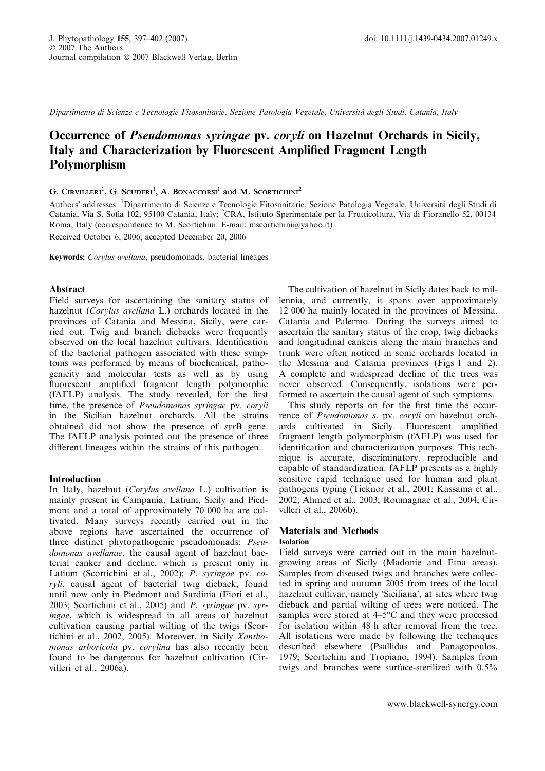Dipartimento di Scienze e Tecnologie Fitosanitarie, Sezione Patologia Vegetale, Universita` degli Studi, Catania, Italy

# Occurrence of Pseudomonas syringae pv. coryli on Hazelnut Orchards in Sicily, Italy and Characterization by Fluorescent Amplified Fragment Length Polymorphism

# G. CIRVILLERI<sup>1</sup>, G. SCUDERI<sup>1</sup>, A. BONACCORSI<sup>1</sup> and M. SCORTICHINI<sup>2</sup>

Authors' addresses: <sup>1</sup>Dipartimento di Scienze e Tecnologie Fitosanitarie, Sezione Patologia Vegetale, Università degli Studi di Catania, Via S. Sofia 102, 95100 Catania, Italy; <sup>2</sup>CRA, Istituto Sperimentale per la Frutticoltura, Via di Fioranello 52, 00134 Roma, Italy (correspondence to M. Scortichini. E-mail: mscortichini@yahoo.it)

Received October 6, 2006; accepted December 20, 2006

Keywords: Corylus avellana, pseudomonads, bacterial lineages

## Abstract

Field surveys for ascertaining the sanitary status of hazelnut (Corylus avellana L.) orchards located in the provinces of Catania and Messina, Sicily, were carried out. Twig and branch diebacks were frequently observed on the local hazelnut cultivars. Identification of the bacterial pathogen associated with these symptoms was performed by means of biochemical, pathogenicity and molecular tests as well as by using fluorescent amplified fragment length polymorphic (fAFLP) analysis. The study revealed, for the first time, the presence of Pseudomonas syringae pv. coryli in the Sicilian hazelnut orchards. All the strains obtained did not show the presence of syrB gene. The fAFLP analysis pointed out the presence of three different lineages within the strains of this pathogen.

# Introduction

In Italy, hazelnut (Corylus avellana L.) cultivation is mainly present in Campania, Latium, Sicily and Piedmont and a total of approximately 70 000 ha are cultivated. Many surveys recently carried out in the above regions have ascertained the occurrence of three distinct phytopathogenic pseudomonads: Pseudomonas avellanae, the causal agent of hazelnut bacterial canker and decline, which is present only in Latium (Scortichini et al., 2002); P. syringae pv. coryli, causal agent of bacterial twig dieback, found until now only in Piedmont and Sardinia (Fiori et al., 2003; Scortichini et al., 2005) and P. syringae pv. syringae, which is widespread in all areas of hazelnut cultivation causing partial wilting of the twigs (Scortichini et al., 2002, 2005). Moreover, in Sicily Xanthomonas arboricola pv. corylina has also recently been found to be dangerous for hazelnut cultivation (Cirvilleri et al., 2006a).

The cultivation of hazelnut in Sicily dates back to millennia, and currently, it spans over approximately 12 000 ha mainly located in the provinces of Messina, Catania and Palermo. During the surveys aimed to ascertain the sanitary status of the crop, twig diebacks and longitudinal cankers along the main branches and trunk were often noticed in some orchards located in the Messina and Catania provinces (Figs 1 and 2). A complete and widespread decline of the trees was never observed. Consequently, isolations were performed to ascertain the causal agent of such symptoms.

This study reports on for the first time the occurrence of Pseudomonas s. pv. coryli on hazelnut orchards cultivated in Sicily. Fluorescent amplified fragment length polymorphism (fAFLP) was used for identification and characterization purposes. This technique is accurate, discriminatory, reproducible and capable of standardization. fAFLP presents as a highly sensitive rapid technique used for human and plant pathogens typing (Ticknor et al., 2001; Kassama et al., 2002; Ahmed et al., 2003; Roumagnac et al., 2004; Cirvilleri et al., 2006b).

#### Materials and Methods Isolation

Field surveys were carried out in the main hazelnutgrowing areas of Sicily (Madonie and Etna areas). Samples from diseased twigs and branches were collected in spring and autumn 2005 from trees of the local hazelnut cultivar, namely 'Siciliana', at sites where twig dieback and partial wilting of trees were noticed. The samples were stored at  $4-5$ °C and they were processed for isolation within 48 h after removal from the tree. All isolations were made by following the techniques described elsewhere (Psallidas and Panagopoulos, 1979; Scortichini and Tropiano, 1994). Samples from twigs and branches were surface-sterilized with 0.5%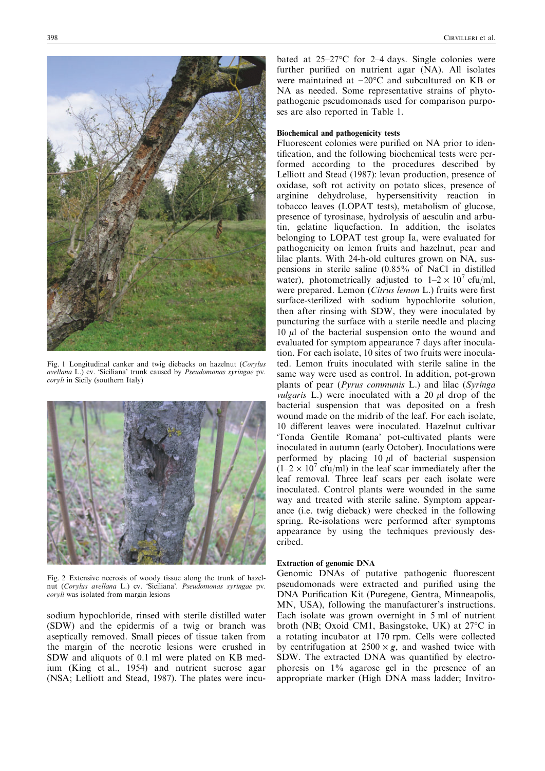

Fig. 1 Longitudinal canker and twig diebacks on hazelnut (Corylus avellana L.) cv. 'Siciliana' trunk caused by Pseudomonas syringae pv. coryli in Sicily (southern Italy)



Fig. 2 Extensive necrosis of woody tissue along the trunk of hazelnut (Corylus avellana L.) cv. 'Siciliana'. Pseudomonas syringae pv. coryli was isolated from margin lesions

sodium hypochloride, rinsed with sterile distilled water (SDW) and the epidermis of a twig or branch was aseptically removed. Small pieces of tissue taken from the margin of the necrotic lesions were crushed in SDW and aliquots of 0.1 ml were plated on KB medium (King et al., 1954) and nutrient sucrose agar (NSA; Lelliott and Stead, 1987). The plates were incu-

bated at  $25-27$ °C for 2-4 days. Single colonies were further purified on nutrient agar (NA). All isolates were maintained at  $-20^{\circ}$ C and subcultured on KB or NA as needed. Some representative strains of phytopathogenic pseudomonads used for comparison purposes are also reported in Table 1.

# Biochemical and pathogenicity tests

Fluorescent colonies were purified on NA prior to identification, and the following biochemical tests were performed according to the procedures described by Lelliott and Stead (1987): levan production, presence of oxidase, soft rot activity on potato slices, presence of arginine dehydrolase, hypersensitivity reaction in tobacco leaves (LOPAT tests), metabolism of glucose, presence of tyrosinase, hydrolysis of aesculin and arbutin, gelatine liquefaction. In addition, the isolates belonging to LOPAT test group Ia, were evaluated for pathogenicity on lemon fruits and hazelnut, pear and lilac plants. With 24-h-old cultures grown on NA, suspensions in sterile saline (0.85% of NaCl in distilled water), photometrically adjusted to  $1-2 \times 10^7$  cfu/ml, were prepared. Lemon (*Citrus lemon* L.) fruits were first surface-sterilized with sodium hypochlorite solution, then after rinsing with SDW, they were inoculated by puncturing the surface with a sterile needle and placing 10  $\mu$ l of the bacterial suspension onto the wound and evaluated for symptom appearance 7 days after inoculation. For each isolate, 10 sites of two fruits were inoculated. Lemon fruits inoculated with sterile saline in the same way were used as control. In addition, pot-grown plants of pear (Pyrus communis L.) and lilac (Syringa *vulgaris* L.) were inoculated with a 20  $\mu$ l drop of the bacterial suspension that was deposited on a fresh wound made on the midrib of the leaf. For each isolate, 10 different leaves were inoculated. Hazelnut cultivar 'Tonda Gentile Romana' pot-cultivated plants were inoculated in autumn (early October). Inoculations were performed by placing  $10 \mu l$  of bacterial suspension  $(1-2 \times 10^7 \text{ cftm/m})$  in the leaf scar immediately after the leaf removal. Three leaf scars per each isolate were inoculated. Control plants were wounded in the same way and treated with sterile saline. Symptom appearance (i.e. twig dieback) were checked in the following spring. Re-isolations were performed after symptoms appearance by using the techniques previously described.

#### Extraction of genomic DNA

Genomic DNAs of putative pathogenic fluorescent pseudomonads were extracted and purified using the DNA Purification Kit (Puregene, Gentra, Minneapolis, MN, USA), following the manufacturer's instructions. Each isolate was grown overnight in 5 ml of nutrient broth (NB; Oxoid CM1, Basingstoke, UK) at 27°C in a rotating incubator at 170 rpm. Cells were collected by centrifugation at  $2500 \times g$ , and washed twice with SDW. The extracted DNA was quantified by electrophoresis on 1% agarose gel in the presence of an appropriate marker (High DNA mass ladder; Invitro-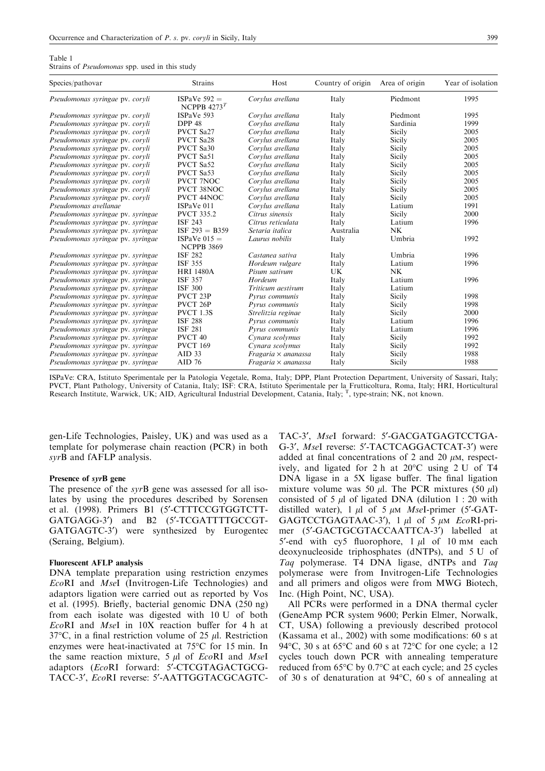#### Table 1

Strains of Pseudomonas spp. used in this study

| Species/pathovar                  | <b>Strains</b>                      | Host                       | Country of origin | Area of origin | Year of isolation |
|-----------------------------------|-------------------------------------|----------------------------|-------------------|----------------|-------------------|
| Pseudomonas syringae pv. coryli   | ISPaVe $592 =$<br>NCPPB $4273^T$    | Corylus avellana           | Italy             | Piedmont       | 1995              |
| Pseudomonas syringae pv. coryli   | ISPaVe 593                          | Corylus avellana           | Italy             | Piedmont       | 1995              |
| Pseudomonas syringae pv. corvli   | DPP <sub>48</sub>                   | Corvlus avellana           | Italy             | Sardinia       | 1999              |
| Pseudomonas syringae pv. coryli   | <b>PVCT Sa27</b>                    | Corylus avellana           | Italy             | Sicily         | 2005              |
| Pseudomonas syringae pv. coryli   | <b>PVCT Sa28</b>                    | Corvlus avellana           | Italy             | Sicily         | 2005              |
| Pseudomonas syringae pv. coryli   | <b>PVCT Sa30</b>                    | Corvlus avellana           | Italy             | Sicily         | 2005              |
| Pseudomonas syringae pv. coryli   | <b>PVCT Sa51</b>                    | Corylus avellana           | Italy             | Sicily         | 2005              |
| Pseudomonas syringae pv. coryli   | <b>PVCT Sa52</b>                    | Corylus avellana           | Italy             | Sicily         | 2005              |
| Pseudomonas syringae pv. coryli   | <b>PVCT Sa53</b>                    | Corvlus avellana           | Italy             | Sicily         | 2005              |
| Pseudomonas syringae pv. coryli   | <b>PVCT 7NOC</b>                    | Corylus avellana           | Italy             | Sicily         | 2005              |
| Pseudomonas syringae pv. coryli   | <b>PVCT 38NOC</b>                   | Corylus avellana           | Italy             | Sicily         | 2005              |
| Pseudomonas syringae pv. coryli   | <b>PVCT 44NOC</b>                   | Corylus avellana           | Italy             | Sicily         | 2005              |
| Pseudomonas avellanae             | ISPaVe 011                          | Corvlus avellana           | Italy             | Latium         | 1991              |
| Pseudomonas syringae pv. syringae | <b>PVCT 335.2</b>                   | Citrus sinensis            | Italy             | Sicily         | 2000              |
| Pseudomonas syringae pv. syringae | ISF 243                             | Citrus reticulata          | Italy             | Latium         | 1996              |
| Pseudomonas syringae pv. syringae | ISF $293 = B359$                    | Setaria italica            | Australia         | NK             |                   |
| Pseudomonas syringae pv. syringae | ISPaVe $015 =$<br><b>NCPPB 3869</b> | Laurus nobilis             | Italy             | Umbria         | 1992              |
| Pseudomonas syringae pv. syringae | <b>ISF 282</b>                      | Castanea sativa            | Italy             | Umbria         | 1996              |
| Pseudomonas syringae pv. syringae | <b>ISF 355</b>                      | Hordeum vulgare            | Italy             | Latium         | 1996              |
| Pseudomonas syringae pv. syringae | <b>HRI 1480A</b>                    | Pisum sativum              | <b>UK</b>         | NK             |                   |
| Pseudomonas syringae pv. syringae | <b>ISF 357</b>                      | Hordeum                    | Italy             | Latium         | 1996              |
| Pseudomonas syringae pv. syringae | <b>ISF 300</b>                      | Triticum aestivum          | Italy             | Latium         |                   |
| Pseudomonas syringae pv. syringae | PVCT 23P                            | Pyrus communis             | Italy             | Sicily         | 1998              |
| Pseudomonas syringae pv. syringae | <b>PVCT 26P</b>                     | Pyrus communis             | Italy             | Sicily         | 1998              |
| Pseudomonas syringae pv. syringae | PVCT 1.3S                           | Strelitzia reginae         | Italy             | Sicily         | 2000              |
| Pseudomonas syringae pv. syringae | <b>ISF 288</b>                      | Pyrus communis             | Italy             | Latium         | 1996              |
| Pseudomonas syringae pv. syringae | <b>ISF 281</b>                      | Pyrus communis             | Italy             | Latium         | 1996              |
| Pseudomonas syringae pv. syringae | PVCT <sub>40</sub>                  | Cynara scolymus            | Italy             | Sicily         | 1992              |
| Pseudomonas syringae pv. syringae | <b>PVCT 169</b>                     | Cynara scolymus            | Italy             | Sicily         | 1992              |
| Pseudomonas syringae pv. syringae | AID 33                              | $Fragaria \times ananassa$ | Italy             | Sicily         | 1988              |
| Pseudomonas syringae pv. syringae | <b>AID 76</b>                       | $Fragaria \times ananassa$ | Italy             | Sicily         | 1988              |

ISPaVe: CRA, Istituto Sperimentale per la Patologia Vegetale, Roma, Italy; DPP, Plant Protection Department, University of Sassari, Italy; PVCT, Plant Pathology, University of Catania, Italy; ISF: CRA, Istituto Sperimentale per la Frutticoltura, Roma, Italy; HRI, Horticultural<br>Research Institute, Warwick, UK; AID, Agricultural Industrial Development, Catania,

gen-Life Technologies, Paisley, UK) and was used as a template for polymerase chain reaction (PCR) in both syrB and fAFLP analysis.

#### Presence of syrB gene

The presence of the syrB gene was assessed for all isolates by using the procedures described by Sorensen et al. (1998). Primers B1 (5¢-CTTTCCGTGGTCTT-GATGAGG-3') and B2 (5'-TCGATTTTGCCGT-GATGAGTC-3<sup>\*</sup>) were synthesized by Eurogentec (Seraing, Belgium).

#### Fluorescent AFLP analysis

DNA template preparation using restriction enzymes EcoRI and MseI (Invitrogen-Life Technologies) and adaptors ligation were carried out as reported by Vos et al. (1995). Briefly, bacterial genomic DNA (250 ng) from each isolate was digested with 10 U of both EcoRI and MseI in 10X reaction buffer for 4 h at 37 $\degree$ C, in a final restriction volume of 25  $\mu$ l. Restriction enzymes were heat-inactivated at 75°C for 15 min. In the same reaction mixture,  $5 \mu l$  of EcoRI and MseI adaptors (EcoRI forward: 5'-CTCGTAGACTGCG-TACC-3', EcoRI reverse: 5'-AATTGGTACGCAGTC-

TAC-3', MseI forward: 5'-GACGATGAGTCCTGA-G-3<sup>'</sup>, *MseI* reverse: 5'-TACTCAGGACTCAT-3') were added at final concentrations of 2 and 20  $\mu$ M, respectively, and ligated for  $2 h$  at  $20^{\circ}$ C using  $2 U$  of T4 DNA ligase in a 5X ligase buffer. The final ligation mixture volume was 50  $\mu$ l. The PCR mixtures (50  $\mu$ l) consisted of 5  $\mu$ l of ligated DNA (dilution 1 : 20 with distilled water), 1  $\mu$ l of 5  $\mu$ m MseI-primer (5'-GAT-GAGTCCTGAGTAAC-3'), 1  $\mu$ l of 5  $\mu$ m EcoRI-primer (5'-GACTGCGTACCAATTCA-3') labelled at 5'-end with cy5 fluorophore,  $1 \mu$ l of 10 mm each deoxynucleoside triphosphates (dNTPs), and 5 U of Taq polymerase. T4 DNA ligase, dNTPs and Taq polymerase were from Invitrogen-Life Technologies and all primers and oligos were from MWG Biotech, Inc. (High Point, NC, USA).

All PCRs were performed in a DNA thermal cycler (GeneAmp PCR system 9600; Perkin Elmer, Norwalk, CT, USA) following a previously described protocol (Kassama et al., 2002) with some modifications: 60 s at 94 °C, 30 s at  $65$ °C and 60 s at  $72$ °C for one cycle; a 12 cycles touch down PCR with annealing temperature reduced from 65°C by 0.7°C at each cycle; and 25 cycles of 30 s of denaturation at  $94^{\circ}$ C, 60 s of annealing at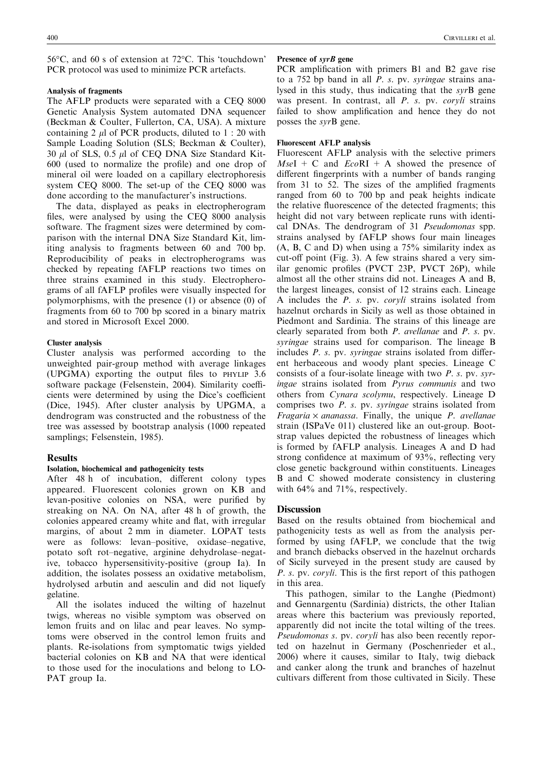$56^{\circ}$ C, and 60 s of extension at 72 $^{\circ}$ C. This 'touchdown' PCR protocol was used to minimize PCR artefacts.

## Analysis of fragments

The AFLP products were separated with a CEQ 8000 Genetic Analysis System automated DNA sequencer (Beckman & Coulter, Fullerton, CA, USA). A mixture containing 2  $\mu$  of PCR products, diluted to 1 : 20 with Sample Loading Solution (SLS; Beckman & Coulter),  $30 \mu l$  of SLS, 0.5  $\mu l$  of CEQ DNA Size Standard Kit-600 (used to normalize the profile) and one drop of mineral oil were loaded on a capillary electrophoresis system CEQ 8000. The set-up of the CEQ 8000 was done according to the manufacturer's instructions.

The data, displayed as peaks in electropherogram files, were analysed by using the CEQ 8000 analysis software. The fragment sizes were determined by comparison with the internal DNA Size Standard Kit, limiting analysis to fragments between 60 and 700 bp. Reproducibility of peaks in electropherograms was checked by repeating fAFLP reactions two times on three strains examined in this study. Electropherograms of all fAFLP profiles were visually inspected for polymorphisms, with the presence (1) or absence (0) of fragments from 60 to 700 bp scored in a binary matrix and stored in Microsoft Excel 2000.

## Cluster analysis

Cluster analysis was performed according to the unweighted pair-group method with average linkages (UPGMA) exporting the output files to phylip 3.6 software package (Felsenstein, 2004). Similarity coefficients were determined by using the Dice's coefficient (Dice, 1945). After cluster analysis by UPGMA, a dendrogram was constructed and the robustness of the tree was assessed by bootstrap analysis (1000 repeated samplings; Felsenstein, 1985).

# **Results**

# Isolation, biochemical and pathogenicity tests

After 48 h of incubation, different colony types appeared. Fluorescent colonies grown on KB and levan-positive colonies on NSA, were purified by streaking on NA. On NA, after 48 h of growth, the colonies appeared creamy white and flat, with irregular margins, of about 2 mm in diameter. LOPAT tests were as follows: levan–positive, oxidase–negative, potato soft rot–negative, arginine dehydrolase–negative, tobacco hypersensitivity-positive (group Ia). In addition, the isolates possess an oxidative metabolism, hydrolysed arbutin and aesculin and did not liquefy gelatine.

All the isolates induced the wilting of hazelnut twigs, whereas no visible symptom was observed on lemon fruits and on lilac and pear leaves. No symptoms were observed in the control lemon fruits and plants. Re-isolations from symptomatic twigs yielded bacterial colonies on KB and NA that were identical to those used for the inoculations and belong to LO-PAT group Ia.

# Presence of syrB gene

PCR amplification with primers B1 and B2 gave rise to a 752 bp band in all P. s. pv. syringae strains analysed in this study, thus indicating that the syrB gene was present. In contrast, all P. s. pv. coryli strains failed to show amplification and hence they do not posses the syrB gene.

#### Fluorescent AFLP analysis

Fluorescent AFLP analysis with the selective primers  $MseI + C$  and  $EcoRI + A$  showed the presence of different fingerprints with a number of bands ranging from 31 to 52. The sizes of the amplified fragments ranged from 60 to 700 bp and peak heights indicate the relative fluorescence of the detected fragments; this height did not vary between replicate runs with identical DNAs. The dendrogram of 31 Pseudomonas spp. strains analysed by fAFLP shows four main lineages (A, B, C and D) when using a 75% similarity index as cut-off point (Fig. 3). A few strains shared a very similar genomic profiles (PVCT 23P, PVCT 26P), while almost all the other strains did not. Lineages A and B, the largest lineages, consist of 12 strains each. Lineage A includes the P. s. pv. coryli strains isolated from hazelnut orchards in Sicily as well as those obtained in Piedmont and Sardinia. The strains of this lineage are clearly separated from both P. avellanae and P. s. pv. syringae strains used for comparison. The lineage B includes P. s. pv. syringae strains isolated from different herbaceous and woody plant species. Lineage C consists of a four-isolate lineage with two P. s. pv. syringae strains isolated from Pyrus communis and two others from Cynara scolymu, respectively. Lineage D comprises two P. s. pv. syringae strains isolated from Fragaria  $\times$  ananassa. Finally, the unique P. avellanae strain (ISPaVe 011) clustered like an out-group. Bootstrap values depicted the robustness of lineages which is formed by fAFLP analysis. Lineages A and D had strong confidence at maximum of 93%, reflecting very close genetic background within constituents. Lineages B and C showed moderate consistency in clustering with 64% and 71%, respectively.

# **Discussion**

Based on the results obtained from biochemical and pathogenicity tests as well as from the analysis performed by using fAFLP, we conclude that the twig and branch diebacks observed in the hazelnut orchards of Sicily surveyed in the present study are caused by P. s. pv. coryli. This is the first report of this pathogen in this area.

This pathogen, similar to the Langhe (Piedmont) and Gennargentu (Sardinia) districts, the other Italian areas where this bacterium was previously reported, apparently did not incite the total wilting of the trees. Pseudomonas s. pv. coryli has also been recently reported on hazelnut in Germany (Poschenrieder et al., 2006) where it causes, similar to Italy, twig dieback and canker along the trunk and branches of hazelnut cultivars different from those cultivated in Sicily. These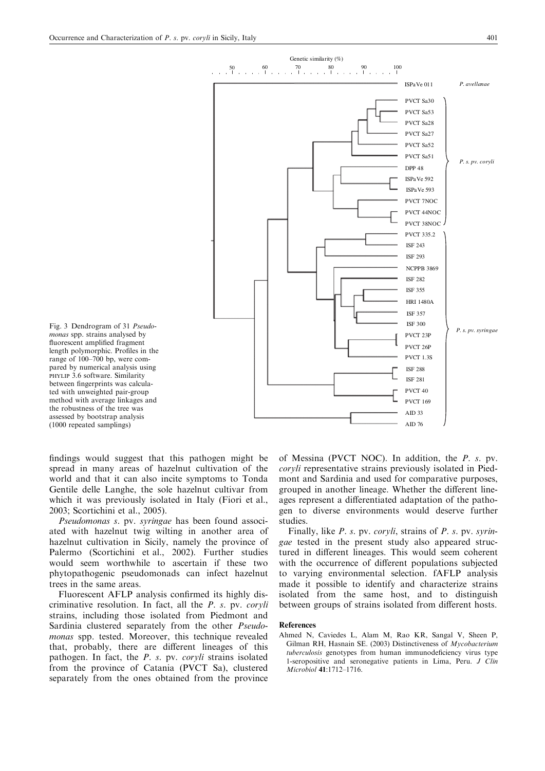

Fig. 3 Dendrogram of 31 Pseudomonas spp. strains analysed by fluorescent amplified fragment length polymorphic. Profiles in the range of 100-700 bp, were compared by numerical analysis using phylip 3.6 software. Similarity between fingerprints was calculated with unweighted pair-group method with average linkages and the robustness of the tree was assessed by bootstrap analysis (1000 repeated samplings)

findings would suggest that this pathogen might be spread in many areas of hazelnut cultivation of the world and that it can also incite symptoms to Tonda Gentile delle Langhe, the sole hazelnut cultivar from which it was previously isolated in Italy (Fiori et al., 2003; Scortichini et al., 2005).

Pseudomonas s. pv. syringae has been found associated with hazelnut twig wilting in another area of hazelnut cultivation in Sicily, namely the province of Palermo (Scortichini et al., 2002). Further studies would seem worthwhile to ascertain if these two phytopathogenic pseudomonads can infect hazelnut trees in the same areas.

Fluorescent AFLP analysis confirmed its highly discriminative resolution. In fact, all the P. s. pv. coryli strains, including those isolated from Piedmont and Sardinia clustered separately from the other Pseudomonas spp. tested. Moreover, this technique revealed that, probably, there are different lineages of this pathogen. In fact, the P. s. pv. coryli strains isolated from the province of Catania (PVCT Sa), clustered separately from the ones obtained from the province

of Messina (PVCT NOC). In addition, the P. s. pv. coryli representative strains previously isolated in Piedmont and Sardinia and used for comparative purposes, grouped in another lineage. Whether the different lineages represent a differentiated adaptation of the pathogen to diverse environments would deserve further studies.

Finally, like *P. s.* pv. *coryli*, strains of *P. s.* pv. *syrin*gae tested in the present study also appeared structured in different lineages. This would seem coherent with the occurrence of different populations subjected to varying environmental selection. fAFLP analysis made it possible to identify and characterize strains isolated from the same host, and to distinguish between groups of strains isolated from different hosts.

#### References

Ahmed N, Caviedes L, Alam M, Rao KR, Sangal V, Sheen P, Gilman RH, Hasnain SE. (2003) Distinctiveness of Mycobacterium tuberculosis genotypes from human immunodeficiency virus type 1-seropositive and seronegative patients in Lima, Peru. J Clin Microbiol 41:1712–1716.